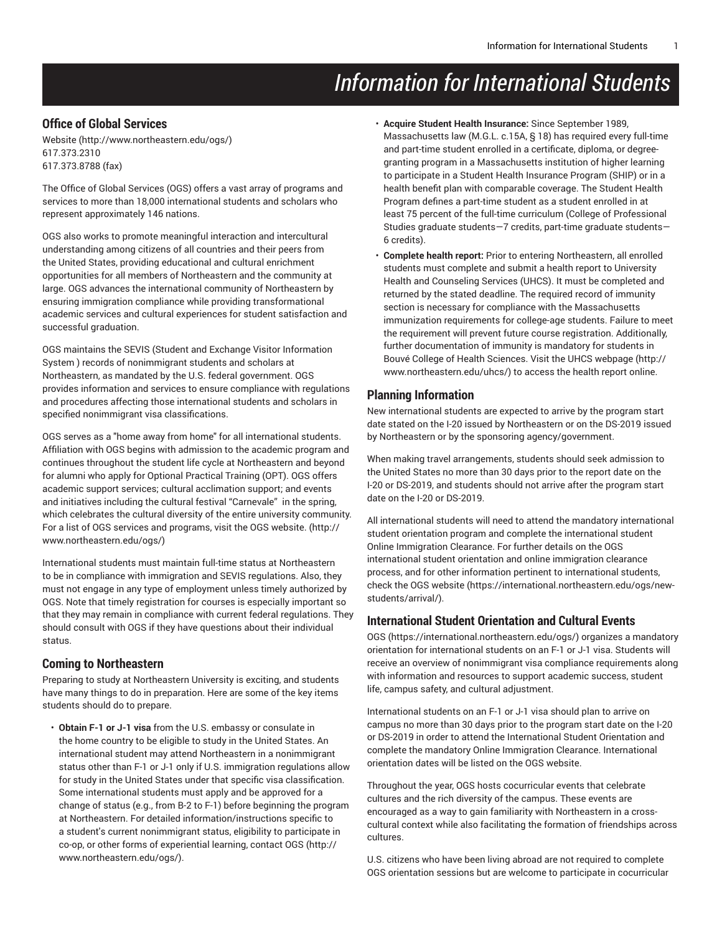# *Information for International Students*

# **Office of Global Services**

[Website](http://www.northeastern.edu/ogs/) (<http://www.northeastern.edu/ogs/>) 617.373.2310 617.373.8788 (fax)

The Office of Global Services (OGS) offers a vast array of programs and services to more than 18,000 international students and scholars who represent approximately 146 nations.

OGS also works to promote meaningful interaction and intercultural understanding among citizens of all countries and their peers from the United States, providing educational and cultural enrichment opportunities for all members of Northeastern and the community at large. OGS advances the international community of Northeastern by ensuring immigration compliance while providing transformational academic services and cultural experiences for student satisfaction and successful graduation.

OGS maintains the SEVIS (Student and Exchange Visitor Information System ) records of nonimmigrant students and scholars at Northeastern, as mandated by the U.S. federal government. OGS provides information and services to ensure compliance with regulations and procedures affecting those international students and scholars in specified nonimmigrant visa classifications.

OGS serves as a "home away from home" for all international students. Affiliation with OGS begins with admission to the academic program and continues throughout the student life cycle at Northeastern and beyond for alumni who apply for Optional Practical Training (OPT). OGS offers academic support services; cultural acclimation support; and events and initiatives including the cultural festival "Carnevale" in the spring, which celebrates the cultural diversity of the entire university community. For a list of OGS services and programs, visit the [OGS website.](http://www.northeastern.edu/ogs/) ([http://](http://www.northeastern.edu/ogs/) [www.northeastern.edu/ogs/](http://www.northeastern.edu/ogs/))

International students must maintain full-time status at Northeastern to be in compliance with immigration and SEVIS regulations. Also, they must not engage in any type of employment unless timely authorized by OGS. Note that timely registration for courses is especially important so that they may remain in compliance with current federal regulations. They should consult with OGS if they have questions about their individual status.

### **Coming to Northeastern**

Preparing to study at Northeastern University is exciting, and students have many things to do in preparation. Here are some of the key items students should do to prepare.

• **Obtain F-1 or J-1 visa** from the U.S. embassy or consulate in the home country to be eligible to study in the United States. An international student may attend Northeastern in a nonimmigrant status other than F-1 or J-1 only if U.S. immigration regulations allow for study in the United States under that specific visa classification. Some international students must apply and be approved for a change of status (e.g., from B-2 to F-1) before beginning the program at Northeastern. For detailed information/instructions specific to a student's current nonimmigrant status, eligibility to participate in co-op, or other forms of experiential learning, contact [OGS \(http://](http://www.northeastern.edu/ogs/) [www.northeastern.edu/ogs/](http://www.northeastern.edu/ogs/)).

- **Acquire Student Health Insurance:** Since September 1989, Massachusetts law (M.G.L. c.15A, § 18) has required every full-time and part-time student enrolled in a certificate, diploma, or degreegranting program in a Massachusetts institution of higher learning to participate in a Student Health Insurance Program (SHIP) or in a health benefit plan with comparable coverage. The Student Health Program defines a part-time student as a student enrolled in at least 75 percent of the full-time curriculum (College of Professional Studies graduate students—7 credits, part-time graduate students— 6 credits).
- **Complete health report:** Prior to entering Northeastern, all enrolled students must complete and submit a health report to University Health and Counseling Services (UHCS). It must be completed and returned by the stated deadline. The required record of immunity section is necessary for compliance with the Massachusetts immunization requirements for college-age students. Failure to meet the requirement will prevent future course registration. Additionally, further documentation of immunity is mandatory for students in Bouvé College of Health Sciences. Visit the [UHCS webpage](http://www.northeastern.edu/uhcs/) ([http://](http://www.northeastern.edu/uhcs/) [www.northeastern.edu/uhcs/](http://www.northeastern.edu/uhcs/)) to access the health report online.

# **Planning Information**

New international students are expected to arrive by the program start date stated on the I-20 issued by Northeastern or on the DS-2019 issued by Northeastern or by the sponsoring agency/government.

When making travel arrangements, students should seek admission to the United States no more than 30 days prior to the report date on the I-20 or DS-2019, and students should not arrive after the program start date on the I-20 or DS-2019.

All international students will need to attend the mandatory international student orientation program and complete the international student Online Immigration Clearance. For further details on the OGS international student orientation and online immigration clearance process, and for other information pertinent to international students, check the [OGS website](https://international.northeastern.edu/ogs/new-students/arrival/) ([https://international.northeastern.edu/ogs/new](https://international.northeastern.edu/ogs/new-students/arrival/)[students/arrival/](https://international.northeastern.edu/ogs/new-students/arrival/)).

### **International Student Orientation and Cultural Events**

[OGS](https://international.northeastern.edu/ogs/) ([https://international.northeastern.edu/ogs/\)](https://international.northeastern.edu/ogs/) organizes a mandatory orientation for international students on an F-1 or J-1 visa. Students will receive an overview of nonimmigrant visa compliance requirements along with information and resources to support academic success, student life, campus safety, and cultural adjustment.

International students on an F-1 or J-1 visa should plan to arrive on campus no more than 30 days prior to the program start date on the I-20 or DS-2019 in order to attend the International Student Orientation and complete the mandatory Online Immigration Clearance. International orientation dates will be listed on the OGS website.

Throughout the year, OGS hosts cocurricular events that celebrate cultures and the rich diversity of the campus. These events are encouraged as a way to gain familiarity with Northeastern in a crosscultural context while also facilitating the formation of friendships across cultures.

U.S. citizens who have been living abroad are not required to complete OGS orientation sessions but are welcome to participate in cocurricular